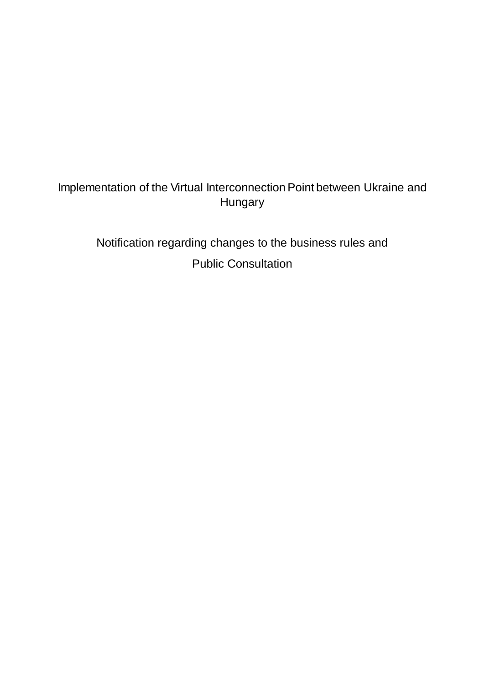# Implementation of the Virtual Interconnection Point between Ukraine and Hungary

Notification regarding changes to the business rules and Public Consultation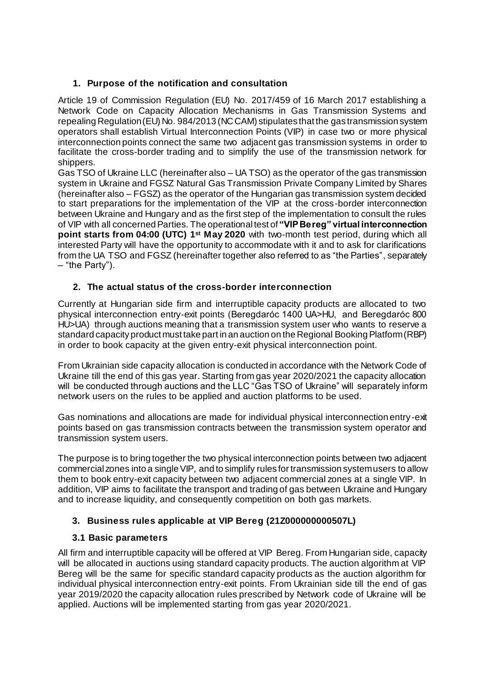# **1. Purpose of the notification and consultation**

Article 19 of Commission Regulation (EU) No. 2017/459 of 16 March 2017 establishing a Network Code on Capacity Allocation Mechanisms in Gas Transmission Systems and repealing Regulation (EU) No. 984/2013 (NC CAM) stipulates that the gas transmission system operators shall establish Virtual Interconnection Points (VIP) in case two or more physical interconnection points connect the same two adjacent gas transmission systems in order to facilitate the cross-border trading and to simplify the use of the transmission network for shippers.

Gas TSO of Ukraine LLC (hereinafter also – UA TSO) as the operator of the gas transmission system in Ukraine and FGSZ Natural Gas Transmission Private Company Limited by Shares (hereinafter also – FGSZ) as the operator of the Hungarian gas transmission system decided to start preparations for the implementation of the VIP at the cross-border interconnection between Ukraine and Hungary and as the first step of the implementation to consult the rules of VIP with all concerned Parties. The operational test of **"VIP Bereg" virtual interconnection point starts from 04:00 (UTC) 1<sup>st</sup> May 2020** with two-month test period, during which all interested Party will have the opportunity to accommodate with it and to ask for clarifications from the UA TSO and FGSZ (hereinafter together also referred to as "the Parties", separately – "the Party").

# **2. The actual status of the cross-border interconnection**

Currently at Hungarian side firm and interruptible capacity products are allocated to two physical interconnection entry-exit points (Beregdaróc 1400 UA>HU, and Beregdaróc 800 HU>UA) through auctions meaning that a transmission system user who wants to reserve a standard capacity product must take part in an auction on the Regional Booking Platform (RBP) in order to book capacity at the given entry-exit physical interconnection point.

From Ukrainian side capacity allocation is conducted in accordance with the Network Code of Ukraine till the end of this gas year. Starting from gas year 2020/2021 the capacity allocation will be conducted through auctions and the LLC "Gas TSO of Ukraine" will separately inform network users on the rules to be applied and auction platforms to be used.

Gas nominations and allocations are made for individual physical interconnection entry-exit points based on gas transmission contracts between the transmission system operator and transmission system users.

The purpose is to bring together the two physical interconnection points between two adjacent commercial zones into a single VIP, and to simplify rules for transmission system users to allow them to book entry-exit capacity between two adjacent commercial zones at a single VIP. In addition, VIP aims to facilitate the transport and trading of gas between Ukraine and Hungary and to increase liquidity, and consequently competition on both gas markets.

## **3. Business rules applicable at VIP Bereg (21Z000000000507L)**

## **3.1 Basic parameters**

All firm and interruptible capacity will be offered at VIP Bereg. From Hungarian side, capacity will be allocated in auctions using standard capacity products. The auction algorithm at VIP Bereg will be the same for specific standard capacity products as the auction algorithm for individual physical interconnection entry-exit points. From Ukrainian side till the end of gas year 2019/2020 the capacity allocation rules prescribed by Network code of Ukraine will be applied. Auctions will be implemented starting from gas year 2020/2021.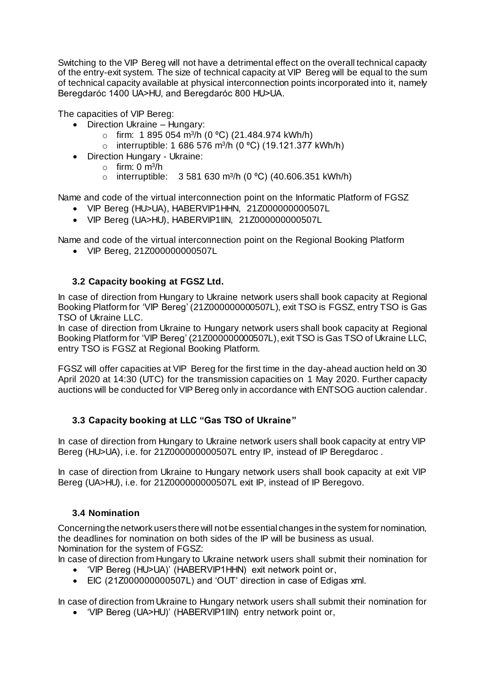Switching to the VIP Bereg will not have a detrimental effect on the overall technical capacity of the entry-exit system. The size of technical capacity at VIP Bereg will be equal to the sum of technical capacity available at physical interconnection points incorporated into it, namely Beregdaróc 1400 UA>HU, and Beregdaróc 800 HU>UA.

The capacities of VIP Bereg:

- Direction Ukraine Hungary:
	- $\circ$  firm: 1 895 054 m<sup>3</sup>/h (0 °C) (21.484.974 kWh/h)
	- interruptible: 1 686 576 m<sup>3</sup>/h (0 °C) (19.121.377 kWh/h)
- Direction Hungary Ukraine:
	- o firm: 0 m<sup>3</sup> /h
		- o interruptible:  $3\,581\,630\,\mathrm{m}^3/\mathrm{h}$  (0 °C) (40.606.351 kWh/h)

Name and code of the virtual interconnection point on the Informatic Platform of FGSZ

- VIP Bereg (HU>UA), HABERVIP1HHN, 21Z000000000507L
- VIP Bereg (UA>HU), HABERVIP1IIN, 21Z000000000507L

Name and code of the virtual interconnection point on the Regional Booking Platform

VIP Bereg, 21Z000000000507L

# **3.2 Capacity booking at FGSZ Ltd.**

In case of direction from Hungary to Ukraine network users shall book capacity at Regional Booking Platform for 'VIP Bereg' (21Z000000000507L), exit TSO is FGSZ, entry TSO is Gas TSO of Ukraine LLC.

In case of direction from Ukraine to Hungary network users shall book capacity at Regional Booking Platform for 'VIP Bereg' (21Z000000000507L), exit TSO is Gas TSO of Ukraine LLC, entry TSO is FGSZ at Regional Booking Platform.

FGSZ will offer capacities at VIP Bereg for the first time in the day-ahead auction held on 30 April 2020 at 14:30 (UTC) for the transmission capacities on 1 May 2020. Further capacity auctions will be conducted for VIP Bereg only in accordance with ENTSOG auction calendar.

## **3.3 Capacity booking at LLC "Gas TSO of Ukraine"**

In case of direction from Hungary to Ukraine network users shall book capacity at entry VIP Bereg (HU>UA), i.e. for 21Z000000000507L entry IP, instead of IP Beregdaroc .

In case of direction from Ukraine to Hungary network users shall book capacity at exit VIP Bereg (UA>HU), i.e. for 21Z000000000507L exit IP, instead of IP Beregovo.

# **3.4 Nomination**

Concerning the network users there will not be essential changes in the system for nomination, the deadlines for nomination on both sides of the IP will be business as usual. Nomination for the system of FGSZ:

In case of direction from Hungary to Ukraine network users shall submit their nomination for 'VIP Bereg (HU>UA)' (HABERVIP1HHN) exit network point or,

EIC (21Z000000000507L) and 'OUT' direction in case of Edigas xml.

In case of direction from Ukraine to Hungary network users shall submit their nomination for 'VIP Bereg (UA>HU)' (HABERVIP1IIN) entry network point or,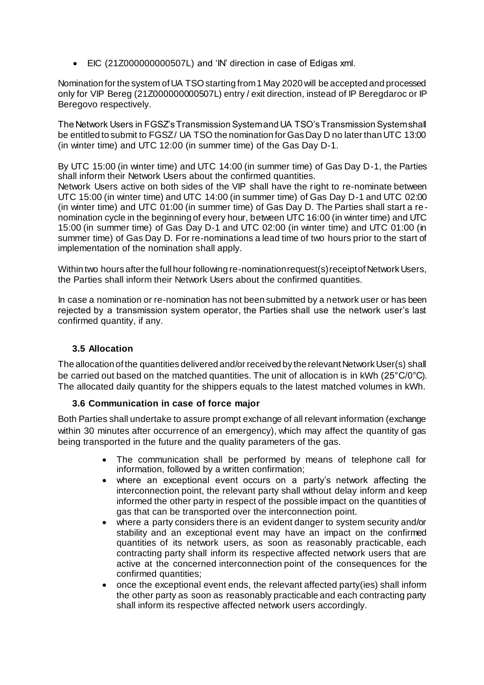EIC (21Z000000000507L) and 'IN' direction in case of Edigas xml.

Nomination for the system of UA TSO starting from 1 May 2020 will be accepted and processed only for VIP Bereg (21Z000000000507L) entry / exit direction, instead of IP Beregdaroc or IP Beregovo respectively.

The Network Users in FGSZ's Transmission System and UA TSO's Transmission System shall be entitled to submit to FGSZ/ UA TSO the nomination for Gas Day D no later than UTC 13:00 (in winter time) and UTC 12:00 (in summer time) of the Gas Day D-1.

By UTC 15:00 (in winter time) and UTC 14:00 (in summer time) of Gas Day D-1, the Parties shall inform their Network Users about the confirmed quantities.

Network Users active on both sides of the VIP shall have the right to re-nominate between UTC 15:00 (in winter time) and UTC 14:00 (in summer time) of Gas Day D-1 and UTC 02:00 (in winter time) and UTC 01:00 (in summer time) of Gas Day D. The Parties shall start a renomination cycle in the beginning of every hour, between UTC 16:00 (in winter time) and UTC 15:00 (in summer time) of Gas Day D-1 and UTC 02:00 (in winter time) and UTC 01:00 (in summer time) of Gas Day D. For re-nominations a lead time of two hours prior to the start of implementation of the nomination shall apply.

Within two hours after the full hour following re-nomination request(s) receipt of Network Users, the Parties shall inform their Network Users about the confirmed quantities.

In case a nomination or re-nomination has not been submitted by a network user or has been rejected by a transmission system operator, the Parties shall use the network user's last confirmed quantity, if any.

## **3.5 Allocation**

The allocation of the quantities delivered and/or received by the relevant Network User(s) shall be carried out based on the matched quantities. The unit of allocation is in kWh (25°C/0°C). The allocated daily quantity for the shippers equals to the latest matched volumes in kWh.

#### **3.6 Communication in case of force major**

Both Parties shall undertake to assure prompt exchange of all relevant information (exchange within 30 minutes after occurrence of an emergency), which may affect the quantity of gas being transported in the future and the quality parameters of the gas.

- The communication shall be performed by means of telephone call for information, followed by a written confirmation;
- where an exceptional event occurs on a party's network affecting the interconnection point, the relevant party shall without delay inform and keep informed the other party in respect of the possible impact on the quantities of gas that can be transported over the interconnection point.
- where a party considers there is an evident danger to system security and/or stability and an exceptional event may have an impact on the confirmed quantities of its network users, as soon as reasonably practicable, each contracting party shall inform its respective affected network users that are active at the concerned interconnection point of the consequences for the confirmed quantities;
- once the exceptional event ends, the relevant affected party(ies) shall inform the other party as soon as reasonably practicable and each contracting party shall inform its respective affected network users accordingly.